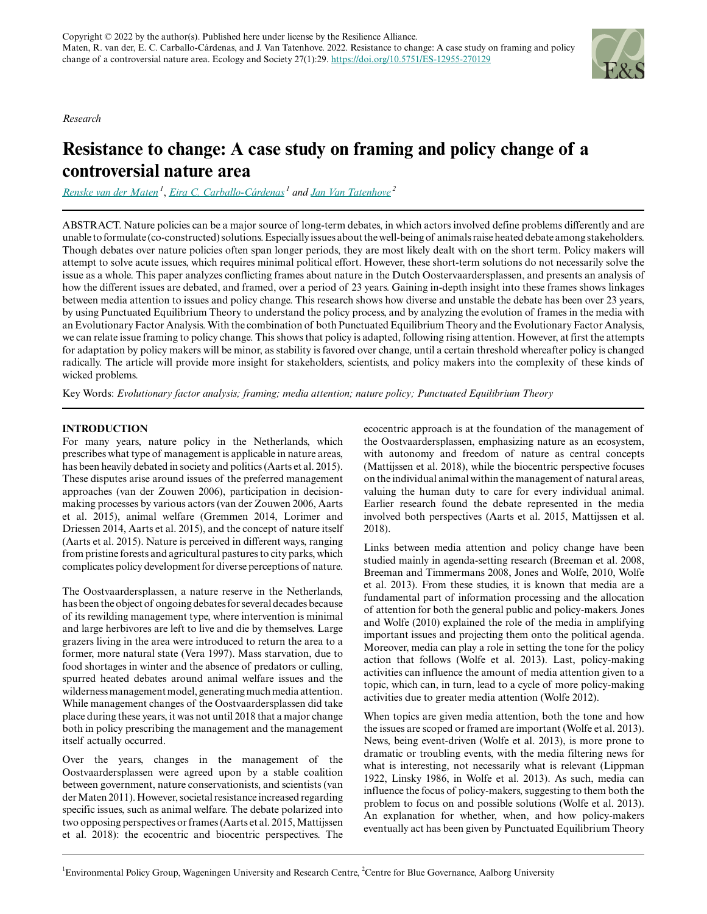*Research*



# **Resistance to change: A case study on framing and policy change of a controversial nature area**

*[Renske van der Maten](mailto:renskevandermaten@gmail.com)<sup>1</sup>* , *[Eira C. Carballo-Cárdenas](mailto:Eira.CarballoCardenas@wur.nl)<sup>1</sup> and [Jan Van Tatenhove](mailto:tatenhove@plan.aau.dk)<sup>2</sup>*

ABSTRACT. Nature policies can be a major source of long-term debates, in which actors involved define problems differently and are unable to formulate (co-constructed) solutions. Especially issues about the well-being of animals raise heated debate among stakeholders. Though debates over nature policies often span longer periods, they are most likely dealt with on the short term. Policy makers will attempt to solve acute issues, which requires minimal political effort. However, these short-term solutions do not necessarily solve the issue as a whole. This paper analyzes conflicting frames about nature in the Dutch Oostervaardersplassen, and presents an analysis of how the different issues are debated, and framed, over a period of 23 years. Gaining in-depth insight into these frames shows linkages between media attention to issues and policy change. This research shows how diverse and unstable the debate has been over 23 years, by using Punctuated Equilibrium Theory to understand the policy process, and by analyzing the evolution of frames in the media with an Evolutionary Factor Analysis. With the combination of both Punctuated Equilibrium Theory and the Evolutionary Factor Analysis, we can relate issue framing to policy change. This shows that policy is adapted, following rising attention. However, at first the attempts for adaptation by policy makers will be minor, as stability is favored over change, until a certain threshold whereafter policy is changed radically. The article will provide more insight for stakeholders, scientists, and policy makers into the complexity of these kinds of wicked problems.

Key Words: *Evolutionary factor analysis; framing; media attention; nature policy; Punctuated Equilibrium Theory*

# **INTRODUCTION**

For many years, nature policy in the Netherlands, which prescribes what type of management is applicable in nature areas, has been heavily debated in society and politics (Aarts et al. 2015). These disputes arise around issues of the preferred management approaches (van der Zouwen 2006), participation in decisionmaking processes by various actors (van der Zouwen 2006, Aarts et al. 2015), animal welfare (Gremmen 2014, Lorimer and Driessen 2014, Aarts et al. 2015), and the concept of nature itself (Aarts et al. 2015). Nature is perceived in different ways, ranging from pristine forests and agricultural pastures to city parks, which complicates policy development for diverse perceptions of nature.

The Oostvaardersplassen, a nature reserve in the Netherlands, has been the object of ongoing debates for several decades because of its rewilding management type, where intervention is minimal and large herbivores are left to live and die by themselves. Large grazers living in the area were introduced to return the area to a former, more natural state (Vera 1997). Mass starvation, due to food shortages in winter and the absence of predators or culling, spurred heated debates around animal welfare issues and the wilderness management model, generating much media attention. While management changes of the Oostvaardersplassen did take place during these years, it was not until 2018 that a major change both in policy prescribing the management and the management itself actually occurred.

Over the years, changes in the management of the Oostvaardersplassen were agreed upon by a stable coalition between government, nature conservationists, and scientists (van der Maten 2011). However, societal resistance increased regarding specific issues, such as animal welfare. The debate polarized into two opposing perspectives or frames (Aarts et al. 2015, Mattijssen et al. 2018): the ecocentric and biocentric perspectives. The

ecocentric approach is at the foundation of the management of the Oostvaardersplassen, emphasizing nature as an ecosystem, with autonomy and freedom of nature as central concepts (Mattijssen et al. 2018), while the biocentric perspective focuses on the individual animal within the management of natural areas, valuing the human duty to care for every individual animal. Earlier research found the debate represented in the media involved both perspectives (Aarts et al. 2015, Mattijssen et al. 2018).

Links between media attention and policy change have been studied mainly in agenda-setting research (Breeman et al. 2008, Breeman and Timmermans 2008, Jones and Wolfe, 2010, Wolfe et al. 2013). From these studies, it is known that media are a fundamental part of information processing and the allocation of attention for both the general public and policy-makers. Jones and Wolfe (2010) explained the role of the media in amplifying important issues and projecting them onto the political agenda. Moreover, media can play a role in setting the tone for the policy action that follows (Wolfe et al. 2013). Last, policy-making activities can influence the amount of media attention given to a topic, which can, in turn, lead to a cycle of more policy-making activities due to greater media attention (Wolfe 2012).

When topics are given media attention, both the tone and how the issues are scoped or framed are important (Wolfe et al. 2013). News, being event-driven (Wolfe et al. 2013), is more prone to dramatic or troubling events, with the media filtering news for what is interesting, not necessarily what is relevant (Lippman 1922, Linsky 1986, in Wolfe et al. 2013). As such, media can influence the focus of policy-makers, suggesting to them both the problem to focus on and possible solutions (Wolfe et al. 2013). An explanation for whether, when, and how policy-makers eventually act has been given by Punctuated Equilibrium Theory

 ${}^{1}$ Environmental Policy Group, Wageningen University and Research Centre,  ${}^{2}$ Centre for Blue Governance, Aalborg University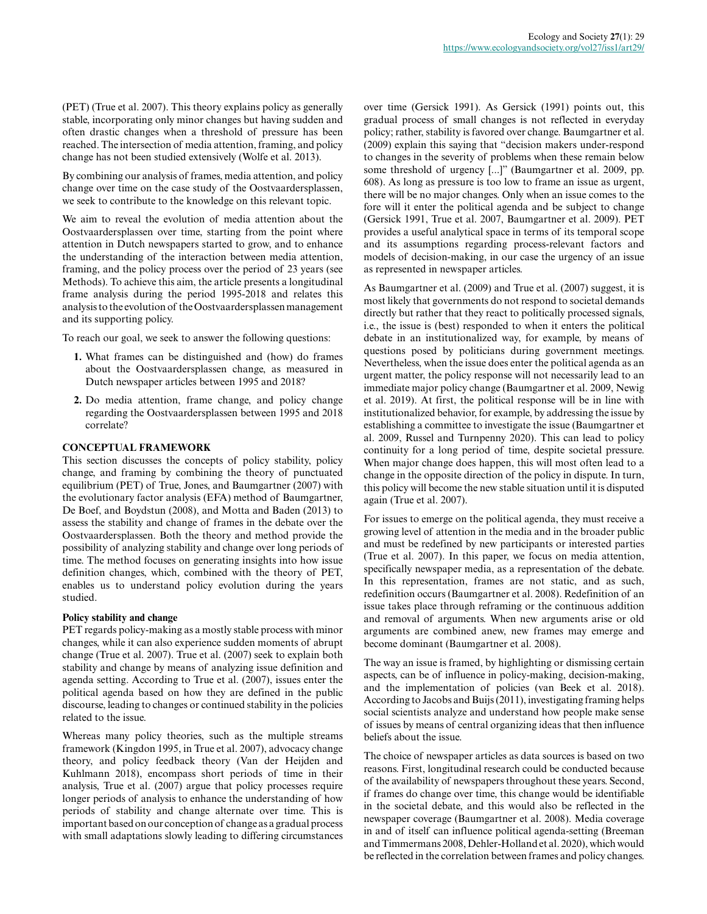(PET) (True et al. 2007). This theory explains policy as generally stable, incorporating only minor changes but having sudden and often drastic changes when a threshold of pressure has been reached. The intersection of media attention, framing, and policy change has not been studied extensively (Wolfe et al. 2013).

By combining our analysis of frames, media attention, and policy change over time on the case study of the Oostvaardersplassen, we seek to contribute to the knowledge on this relevant topic.

We aim to reveal the evolution of media attention about the Oostvaardersplassen over time, starting from the point where attention in Dutch newspapers started to grow, and to enhance the understanding of the interaction between media attention, framing, and the policy process over the period of 23 years (see Methods). To achieve this aim, the article presents a longitudinal frame analysis during the period 1995-2018 and relates this analysis to the evolution of the Oostvaardersplassen management and its supporting policy.

To reach our goal, we seek to answer the following questions:

- **1.** What frames can be distinguished and (how) do frames about the Oostvaardersplassen change, as measured in Dutch newspaper articles between 1995 and 2018?
- **2.** Do media attention, frame change, and policy change regarding the Oostvaardersplassen between 1995 and 2018 correlate?

# **CONCEPTUAL FRAMEWORK**

This section discusses the concepts of policy stability, policy change, and framing by combining the theory of punctuated equilibrium (PET) of True, Jones, and Baumgartner (2007) with the evolutionary factor analysis (EFA) method of Baumgartner, De Boef, and Boydstun (2008), and Motta and Baden (2013) to assess the stability and change of frames in the debate over the Oostvaardersplassen. Both the theory and method provide the possibility of analyzing stability and change over long periods of time. The method focuses on generating insights into how issue definition changes, which, combined with the theory of PET, enables us to understand policy evolution during the years studied.

# **Policy stability and change**

PET regards policy-making as a mostly stable process with minor changes, while it can also experience sudden moments of abrupt change (True et al. 2007). True et al. (2007) seek to explain both stability and change by means of analyzing issue definition and agenda setting. According to True et al. (2007), issues enter the political agenda based on how they are defined in the public discourse, leading to changes or continued stability in the policies related to the issue.

Whereas many policy theories, such as the multiple streams framework (Kingdon 1995, in True et al. 2007), advocacy change theory, and policy feedback theory (Van der Heijden and Kuhlmann 2018), encompass short periods of time in their analysis, True et al. (2007) argue that policy processes require longer periods of analysis to enhance the understanding of how periods of stability and change alternate over time. This is important based on our conception of change as a gradual process with small adaptations slowly leading to differing circumstances over time (Gersick 1991). As Gersick (1991) points out, this gradual process of small changes is not reflected in everyday policy; rather, stability is favored over change. Baumgartner et al. (2009) explain this saying that "decision makers under-respond to changes in the severity of problems when these remain below some threshold of urgency [...]" (Baumgartner et al. 2009, pp. 608). As long as pressure is too low to frame an issue as urgent, there will be no major changes. Only when an issue comes to the fore will it enter the political agenda and be subject to change (Gersick 1991, True et al. 2007, Baumgartner et al. 2009). PET provides a useful analytical space in terms of its temporal scope and its assumptions regarding process-relevant factors and models of decision-making, in our case the urgency of an issue as represented in newspaper articles.

As Baumgartner et al. (2009) and True et al. (2007) suggest, it is most likely that governments do not respond to societal demands directly but rather that they react to politically processed signals, i.e., the issue is (best) responded to when it enters the political debate in an institutionalized way, for example, by means of questions posed by politicians during government meetings. Nevertheless, when the issue does enter the political agenda as an urgent matter, the policy response will not necessarily lead to an immediate major policy change (Baumgartner et al. 2009, Newig et al. 2019). At first, the political response will be in line with institutionalized behavior, for example, by addressing the issue by establishing a committee to investigate the issue (Baumgartner et al. 2009, Russel and Turnpenny 2020). This can lead to policy continuity for a long period of time, despite societal pressure. When major change does happen, this will most often lead to a change in the opposite direction of the policy in dispute. In turn, this policy will become the new stable situation until it is disputed again (True et al. 2007).

For issues to emerge on the political agenda, they must receive a growing level of attention in the media and in the broader public and must be redefined by new participants or interested parties (True et al. 2007). In this paper, we focus on media attention, specifically newspaper media, as a representation of the debate. In this representation, frames are not static, and as such, redefinition occurs (Baumgartner et al. 2008). Redefinition of an issue takes place through reframing or the continuous addition and removal of arguments. When new arguments arise or old arguments are combined anew, new frames may emerge and become dominant (Baumgartner et al. 2008).

The way an issue is framed, by highlighting or dismissing certain aspects, can be of influence in policy-making, decision-making, and the implementation of policies (van Beek et al. 2018). According to Jacobs and Buijs (2011), investigating framing helps social scientists analyze and understand how people make sense of issues by means of central organizing ideas that then influence beliefs about the issue.

The choice of newspaper articles as data sources is based on two reasons. First, longitudinal research could be conducted because of the availability of newspapers throughout these years. Second, if frames do change over time, this change would be identifiable in the societal debate, and this would also be reflected in the newspaper coverage (Baumgartner et al. 2008). Media coverage in and of itself can influence political agenda-setting (Breeman and Timmermans 2008, Dehler-Holland et al. 2020), which would be reflected in the correlation between frames and policy changes.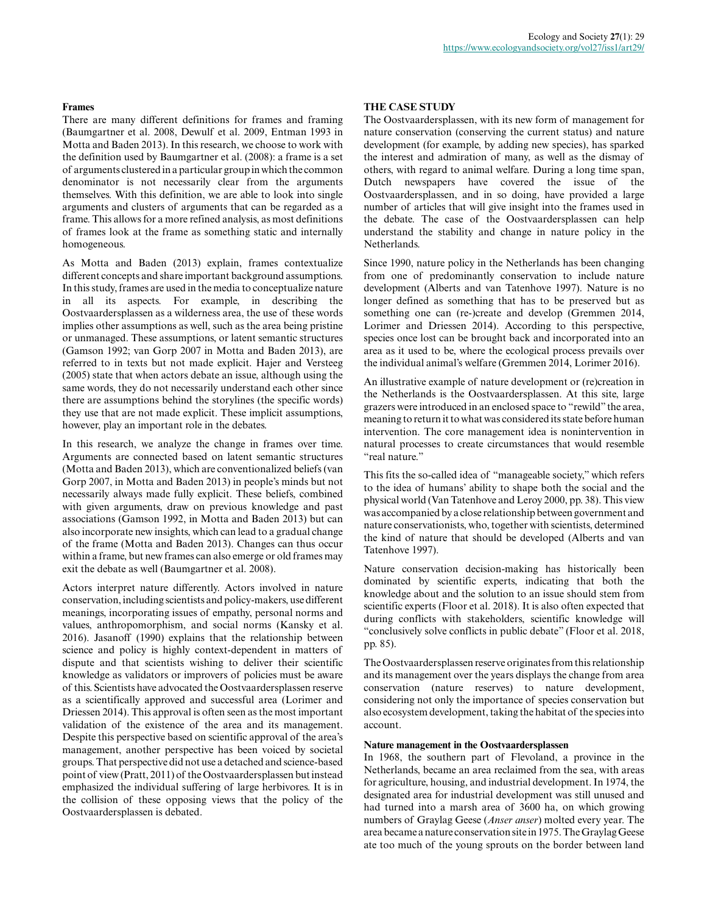#### **Frames**

There are many different definitions for frames and framing (Baumgartner et al. 2008, Dewulf et al. 2009, Entman 1993 in Motta and Baden 2013). In this research, we choose to work with the definition used by Baumgartner et al. (2008): a frame is a set of arguments clustered in a particular group in which the common denominator is not necessarily clear from the arguments themselves. With this definition, we are able to look into single arguments and clusters of arguments that can be regarded as a frame. This allows for a more refined analysis, as most definitions of frames look at the frame as something static and internally homogeneous.

As Motta and Baden (2013) explain, frames contextualize different concepts and share important background assumptions. In this study, frames are used in the media to conceptualize nature in all its aspects. For example, in describing the Oostvaardersplassen as a wilderness area, the use of these words implies other assumptions as well, such as the area being pristine or unmanaged. These assumptions, or latent semantic structures (Gamson 1992; van Gorp 2007 in Motta and Baden 2013), are referred to in texts but not made explicit. Hajer and Versteeg (2005) state that when actors debate an issue, although using the same words, they do not necessarily understand each other since there are assumptions behind the storylines (the specific words) they use that are not made explicit. These implicit assumptions, however, play an important role in the debates.

In this research, we analyze the change in frames over time. Arguments are connected based on latent semantic structures (Motta and Baden 2013), which are conventionalized beliefs (van Gorp 2007, in Motta and Baden 2013) in people's minds but not necessarily always made fully explicit. These beliefs, combined with given arguments, draw on previous knowledge and past associations (Gamson 1992, in Motta and Baden 2013) but can also incorporate new insights, which can lead to a gradual change of the frame (Motta and Baden 2013). Changes can thus occur within a frame, but new frames can also emerge or old frames may exit the debate as well (Baumgartner et al. 2008).

Actors interpret nature differently. Actors involved in nature conservation, including scientists and policy-makers, use different meanings, incorporating issues of empathy, personal norms and values, anthropomorphism, and social norms (Kansky et al. 2016). Jasanoff (1990) explains that the relationship between science and policy is highly context-dependent in matters of dispute and that scientists wishing to deliver their scientific knowledge as validators or improvers of policies must be aware of this. Scientists have advocated the Oostvaardersplassen reserve as a scientifically approved and successful area (Lorimer and Driessen 2014). This approval is often seen as the most important validation of the existence of the area and its management. Despite this perspective based on scientific approval of the area's management, another perspective has been voiced by societal groups. That perspective did not use a detached and science-based point of view (Pratt, 2011) of the Oostvaardersplassen but instead emphasized the individual suffering of large herbivores. It is in the collision of these opposing views that the policy of the Oostvaardersplassen is debated.

#### **THE CASE STUDY**

The Oostvaardersplassen, with its new form of management for nature conservation (conserving the current status) and nature development (for example, by adding new species), has sparked the interest and admiration of many, as well as the dismay of others, with regard to animal welfare. During a long time span, Dutch newspapers have covered the issue of the Oostvaardersplassen, and in so doing, have provided a large number of articles that will give insight into the frames used in the debate. The case of the Oostvaardersplassen can help understand the stability and change in nature policy in the Netherlands.

Since 1990, nature policy in the Netherlands has been changing from one of predominantly conservation to include nature development (Alberts and van Tatenhove 1997). Nature is no longer defined as something that has to be preserved but as something one can (re-)create and develop (Gremmen 2014, Lorimer and Driessen 2014). According to this perspective, species once lost can be brought back and incorporated into an area as it used to be, where the ecological process prevails over the individual animal's welfare (Gremmen 2014, Lorimer 2016).

An illustrative example of nature development or (re)creation in the Netherlands is the Oostvaardersplassen. At this site, large grazers were introduced in an enclosed space to "rewild" the area, meaning to return it to what was considered its state before human intervention. The core management idea is nonintervention in natural processes to create circumstances that would resemble "real nature."

This fits the so-called idea of "manageable society," which refers to the idea of humans' ability to shape both the social and the physical world (Van Tatenhove and Leroy 2000, pp. 38). This view was accompanied by a close relationship between government and nature conservationists, who, together with scientists, determined the kind of nature that should be developed (Alberts and van Tatenhove 1997).

Nature conservation decision-making has historically been dominated by scientific experts, indicating that both the knowledge about and the solution to an issue should stem from scientific experts (Floor et al. 2018). It is also often expected that during conflicts with stakeholders, scientific knowledge will "conclusively solve conflicts in public debate" (Floor et al. 2018, pp. 85).

The Oostvaardersplassen reserve originates from this relationship and its management over the years displays the change from area conservation (nature reserves) to nature development, considering not only the importance of species conservation but also ecosystem development, taking the habitat of the species into account.

#### **Nature management in the Oostvaardersplassen**

In 1968, the southern part of Flevoland, a province in the Netherlands, became an area reclaimed from the sea, with areas for agriculture, housing, and industrial development. In 1974, the designated area for industrial development was still unused and had turned into a marsh area of 3600 ha, on which growing numbers of Graylag Geese (*Anser anser*) molted every year. The area became a nature conservation site in 1975. The Graylag Geese ate too much of the young sprouts on the border between land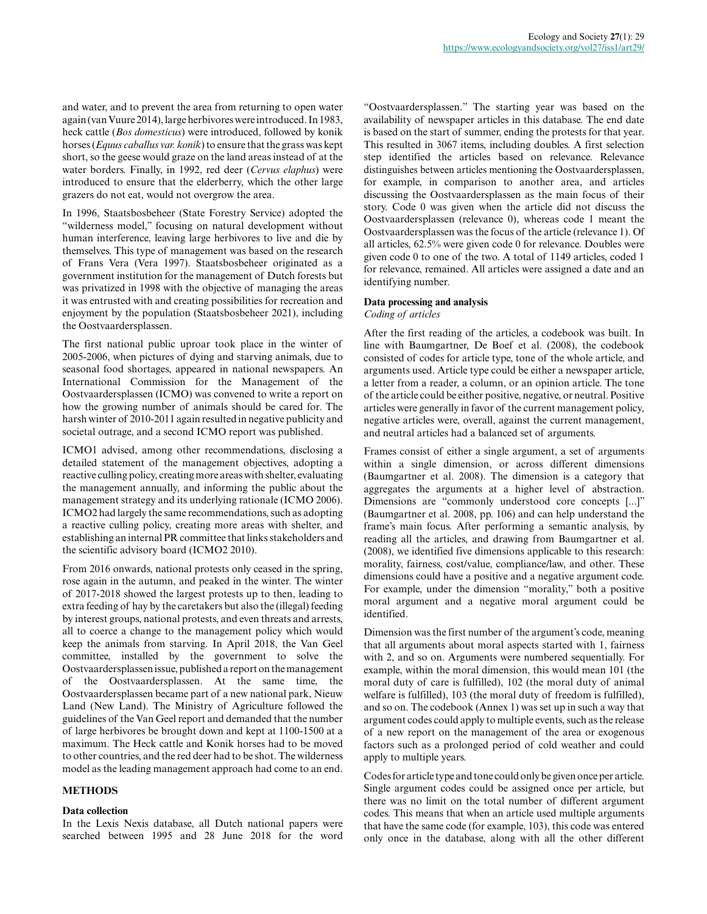and water, and to prevent the area from returning to open water again (van Vuure 2014), large herbivores were introduced. In 1983, heck cattle (*Bos domesticus*) were introduced, followed by konik horses (*Equus caballus var. konik*) to ensure that the grass was kept short, so the geese would graze on the land areas instead of at the water borders. Finally, in 1992, red deer (*Cervus elaphus*) were introduced to ensure that the elderberry, which the other large grazers do not eat, would not overgrow the area.

In 1996, Staatsbosbeheer (State Forestry Service) adopted the "wilderness model," focusing on natural development without human interference, leaving large herbivores to live and die by themselves. This type of management was based on the research of Frans Vera (Vera 1997). Staatsbosbeheer originated as a government institution for the management of Dutch forests but was privatized in 1998 with the objective of managing the areas it was entrusted with and creating possibilities for recreation and enjoyment by the population (Staatsbosbeheer 2021), including the Oostvaardersplassen.

The first national public uproar took place in the winter of 2005-2006, when pictures of dying and starving animals, due to seasonal food shortages, appeared in national newspapers. An International Commission for the Management of the Oostvaardersplassen (ICMO) was convened to write a report on how the growing number of animals should be cared for. The harsh winter of 2010-2011 again resulted in negative publicity and societal outrage, and a second ICMO report was published.

ICMO1 advised, among other recommendations, disclosing a detailed statement of the management objectives, adopting a reactive culling policy, creating more areas with shelter, evaluating the management annually, and informing the public about the management strategy and its underlying rationale (ICMO 2006). ICMO2 had largely the same recommendations, such as adopting a reactive culling policy, creating more areas with shelter, and establishing an internal PR committee that links stakeholders and the scientific advisory board (ICMO2 2010).

From 2016 onwards, national protests only ceased in the spring, rose again in the autumn, and peaked in the winter. The winter of 2017-2018 showed the largest protests up to then, leading to extra feeding of hay by the caretakers but also the (illegal) feeding by interest groups, national protests, and even threats and arrests, all to coerce a change to the management policy which would keep the animals from starving. In April 2018, the Van Geel committee, installed by the government to solve the Oostvaardersplassen issue, published a report on the management of the Oostvaardersplassen. At the same time, the Oostvaardersplassen became part of a new national park, Nieuw Land (New Land). The Ministry of Agriculture followed the guidelines of the Van Geel report and demanded that the number of large herbivores be brought down and kept at 1100-1500 at a maximum. The Heck cattle and Konik horses had to be moved to other countries, and the red deer had to be shot. The wilderness model as the leading management approach had come to an end.

# **METHODS**

#### **Data collection**

In the Lexis Nexis database, all Dutch national papers were searched between 1995 and 28 June 2018 for the word

"Oostvaardersplassen." The starting year was based on the availability of newspaper articles in this database. The end date is based on the start of summer, ending the protests for that year. This resulted in 3067 items, including doubles. A first selection step identified the articles based on relevance. Relevance distinguishes between articles mentioning the Oostvaardersplassen, for example, in comparison to another area, and articles discussing the Oostvaardersplassen as the main focus of their story. Code 0 was given when the article did not discuss the Oostvaardersplassen (relevance 0), whereas code 1 meant the Oostvaardersplassen was the focus of the article (relevance 1). Of all articles, 62.5% were given code 0 for relevance. Doubles were given code 0 to one of the two. A total of 1149 articles, coded 1 for relevance, remained. All articles were assigned a date and an identifying number.

#### **Data processing and analysis**

#### *Coding of articles*

After the first reading of the articles, a codebook was built. In line with Baumgartner, De Boef et al. (2008), the codebook consisted of codes for article type, tone of the whole article, and arguments used. Article type could be either a newspaper article, a letter from a reader, a column, or an opinion article. The tone of the article could be either positive, negative, or neutral. Positive articles were generally in favor of the current management policy, negative articles were, overall, against the current management, and neutral articles had a balanced set of arguments.

Frames consist of either a single argument, a set of arguments within a single dimension, or across different dimensions (Baumgartner et al. 2008). The dimension is a category that aggregates the arguments at a higher level of abstraction. Dimensions are "commonly understood core concepts [...]" (Baumgartner et al. 2008, pp. 106) and can help understand the frame's main focus. After performing a semantic analysis, by reading all the articles, and drawing from Baumgartner et al. (2008), we identified five dimensions applicable to this research: morality, fairness, cost/value, compliance/law, and other. These dimensions could have a positive and a negative argument code. For example, under the dimension "morality," both a positive moral argument and a negative moral argument could be identified.

Dimension was the first number of the argument's code, meaning that all arguments about moral aspects started with 1, fairness with 2, and so on. Arguments were numbered sequentially. For example, within the moral dimension, this would mean 101 (the moral duty of care is fulfilled), 102 (the moral duty of animal welfare is fulfilled), 103 (the moral duty of freedom is fulfilled), and so on. The codebook (Annex 1) was set up in such a way that argument codes could apply to multiple events, such as the release of a new report on the management of the area or exogenous factors such as a prolonged period of cold weather and could apply to multiple years.

Codes for article type and tone could only be given once per article. Single argument codes could be assigned once per article, but there was no limit on the total number of different argument codes. This means that when an article used multiple arguments that have the same code (for example, 103), this code was entered only once in the database, along with all the other different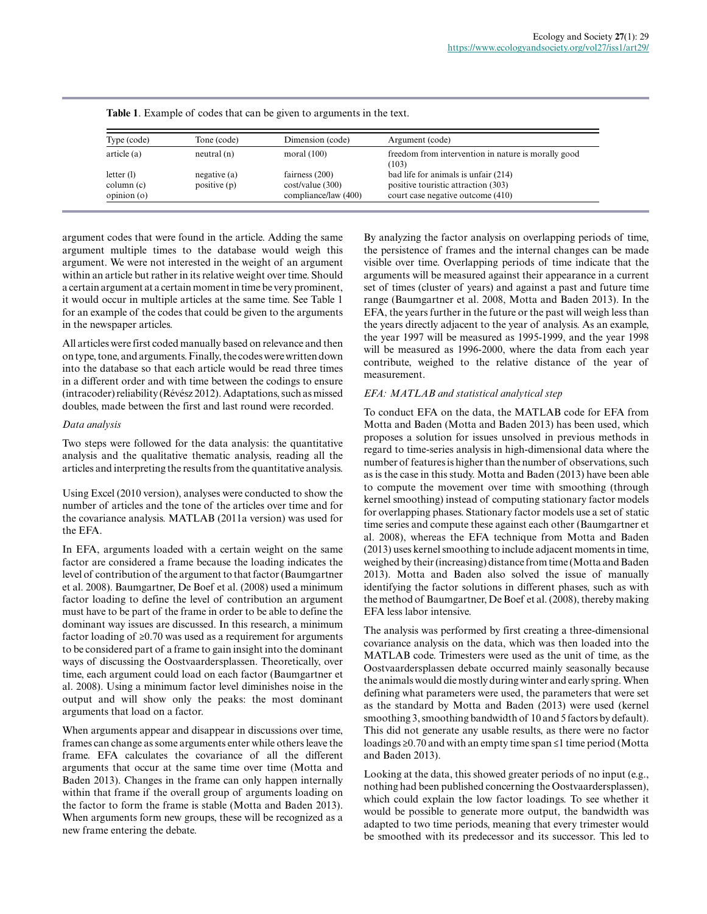| Type (code)                              | Tone (code)                 | Dimension (code)                                            | Argument (code)                                                                                                  |
|------------------------------------------|-----------------------------|-------------------------------------------------------------|------------------------------------------------------------------------------------------------------------------|
| article (a)                              | neutral(n)                  | moral $(100)$                                               | freedom from intervention in nature is morally good<br>(103)                                                     |
| letter $(l)$<br>column (c)<br>opinion(0) | negative(a)<br>positive (p) | fairness $(200)$<br>cost/value(300)<br>compliance/law (400) | bad life for animals is unfair (214)<br>positive touristic attraction (303)<br>court case negative outcome (410) |

**Table 1**. Example of codes that can be given to arguments in the text.

argument codes that were found in the article. Adding the same argument multiple times to the database would weigh this argument. We were not interested in the weight of an argument within an article but rather in its relative weight over time. Should a certain argument at a certain moment in time be very prominent, it would occur in multiple articles at the same time. See Table 1 for an example of the codes that could be given to the arguments in the newspaper articles.

All articles were first coded manually based on relevance and then on type, tone, and arguments. Finally, the codes were written down into the database so that each article would be read three times in a different order and with time between the codings to ensure (intracoder) reliability (Révész 2012). Adaptations, such as missed doubles, made between the first and last round were recorded.

#### *Data analysis*

Two steps were followed for the data analysis: the quantitative analysis and the qualitative thematic analysis, reading all the articles and interpreting the results from the quantitative analysis.

Using Excel (2010 version), analyses were conducted to show the number of articles and the tone of the articles over time and for the covariance analysis. MATLAB (2011a version) was used for the EFA.

In EFA, arguments loaded with a certain weight on the same factor are considered a frame because the loading indicates the level of contribution of the argument to that factor (Baumgartner et al. 2008). Baumgartner, De Boef et al. (2008) used a minimum factor loading to define the level of contribution an argument must have to be part of the frame in order to be able to define the dominant way issues are discussed. In this research, a minimum factor loading of ≥0.70 was used as a requirement for arguments to be considered part of a frame to gain insight into the dominant ways of discussing the Oostvaardersplassen. Theoretically, over time, each argument could load on each factor (Baumgartner et al. 2008). Using a minimum factor level diminishes noise in the output and will show only the peaks: the most dominant arguments that load on a factor.

When arguments appear and disappear in discussions over time, frames can change as some arguments enter while others leave the frame. EFA calculates the covariance of all the different arguments that occur at the same time over time (Motta and Baden 2013). Changes in the frame can only happen internally within that frame if the overall group of arguments loading on the factor to form the frame is stable (Motta and Baden 2013). When arguments form new groups, these will be recognized as a new frame entering the debate.

By analyzing the factor analysis on overlapping periods of time, the persistence of frames and the internal changes can be made visible over time. Overlapping periods of time indicate that the arguments will be measured against their appearance in a current set of times (cluster of years) and against a past and future time range (Baumgartner et al. 2008, Motta and Baden 2013). In the EFA, the years further in the future or the past will weigh less than the years directly adjacent to the year of analysis. As an example, the year 1997 will be measured as 1995-1999, and the year 1998 will be measured as 1996-2000, where the data from each year contribute, weighed to the relative distance of the year of measurement.

# *EFA: MATLAB and statistical analytical step*

To conduct EFA on the data, the MATLAB code for EFA from Motta and Baden (Motta and Baden 2013) has been used, which proposes a solution for issues unsolved in previous methods in regard to time-series analysis in high-dimensional data where the number of features is higher than the number of observations, such as is the case in this study. Motta and Baden (2013) have been able to compute the movement over time with smoothing (through kernel smoothing) instead of computing stationary factor models for overlapping phases. Stationary factor models use a set of static time series and compute these against each other (Baumgartner et al. 2008), whereas the EFA technique from Motta and Baden (2013) uses kernel smoothing to include adjacent moments in time, weighed by their (increasing) distance from time (Motta and Baden 2013). Motta and Baden also solved the issue of manually identifying the factor solutions in different phases, such as with the method of Baumgartner, De Boef et al. (2008), thereby making EFA less labor intensive.

The analysis was performed by first creating a three-dimensional covariance analysis on the data, which was then loaded into the MATLAB code. Trimesters were used as the unit of time, as the Oostvaardersplassen debate occurred mainly seasonally because the animals would die mostly during winter and early spring. When defining what parameters were used, the parameters that were set as the standard by Motta and Baden (2013) were used (kernel smoothing 3, smoothing bandwidth of 10 and 5 factors by default). This did not generate any usable results, as there were no factor loadings ≥0.70 and with an empty time span ≤1 time period (Motta and Baden 2013).

Looking at the data, this showed greater periods of no input (e.g., nothing had been published concerning the Oostvaardersplassen), which could explain the low factor loadings. To see whether it would be possible to generate more output, the bandwidth was adapted to two time periods, meaning that every trimester would be smoothed with its predecessor and its successor. This led to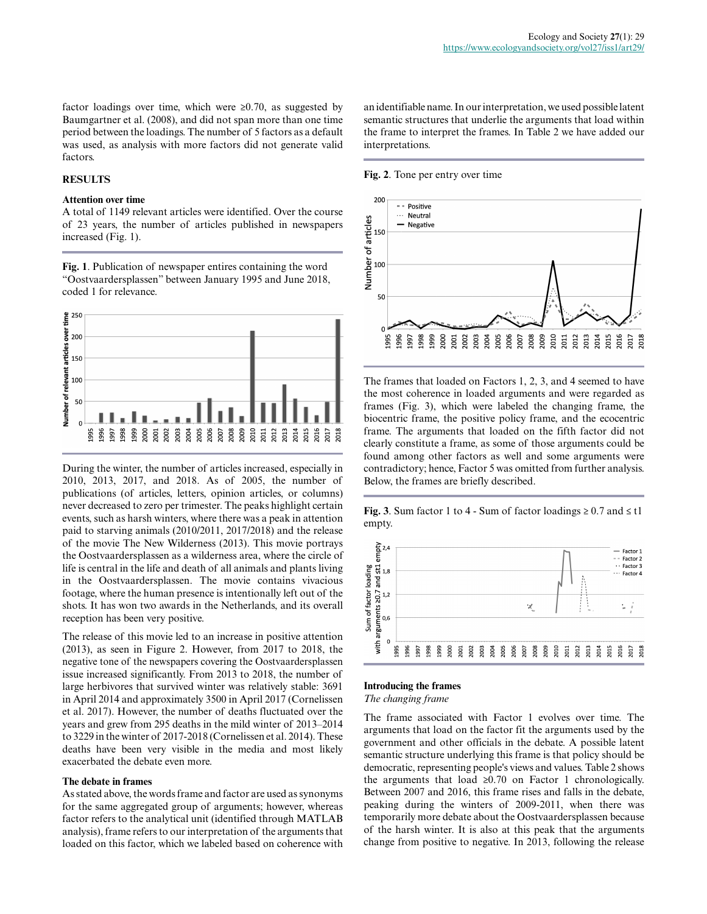factor loadings over time, which were ≥0.70, as suggested by Baumgartner et al. (2008), and did not span more than one time period between the loadings. The number of 5 factors as a default was used, as analysis with more factors did not generate valid factors.

### **RESULTS**

#### **Attention over time**

A total of 1149 relevant articles were identified. Over the course of 23 years, the number of articles published in newspapers increased (Fig. 1).

**Fig. 1**. Publication of newspaper entires containing the word "Oostvaardersplassen" between January 1995 and June 2018, coded 1 for relevance.



During the winter, the number of articles increased, especially in 2010, 2013, 2017, and 2018. As of 2005, the number of publications (of articles, letters, opinion articles, or columns) never decreased to zero per trimester. The peaks highlight certain events, such as harsh winters, where there was a peak in attention paid to starving animals (2010/2011, 2017/2018) and the release of the movie The New Wilderness (2013). This movie portrays the Oostvaardersplassen as a wilderness area, where the circle of life is central in the life and death of all animals and plants living in the Oostvaardersplassen. The movie contains vivacious footage, where the human presence is intentionally left out of the shots. It has won two awards in the Netherlands, and its overall reception has been very positive.

The release of this movie led to an increase in positive attention (2013), as seen in Figure 2. However, from 2017 to 2018, the negative tone of the newspapers covering the Oostvaardersplassen issue increased significantly. From 2013 to 2018, the number of large herbivores that survived winter was relatively stable: 3691 in April 2014 and approximately 3500 in April 2017 (Cornelissen et al. 2017). However, the number of deaths fluctuated over the years and grew from 295 deaths in the mild winter of 2013–2014 to 3229 in the winter of 2017-2018 (Cornelissen et al. 2014). These deaths have been very visible in the media and most likely exacerbated the debate even more.

#### **The debate in frames**

As stated above, the words frame and factor are used as synonyms for the same aggregated group of arguments; however, whereas factor refers to the analytical unit (identified through MATLAB analysis), frame refers to our interpretation of the arguments that loaded on this factor, which we labeled based on coherence with an identifiable name. In our interpretation, we used possible latent semantic structures that underlie the arguments that load within the frame to interpret the frames. In Table 2 we have added our interpretations.

#### **Fig. 2**. Tone per entry over time



The frames that loaded on Factors 1, 2, 3, and 4 seemed to have the most coherence in loaded arguments and were regarded as frames (Fig. 3), which were labeled the changing frame, the biocentric frame, the positive policy frame, and the ecocentric frame. The arguments that loaded on the fifth factor did not clearly constitute a frame, as some of those arguments could be found among other factors as well and some arguments were contradictory; hence, Factor 5 was omitted from further analysis. Below, the frames are briefly described.

**Fig. 3**. Sum factor 1 to 4 - Sum of factor loadings  $\geq 0.7$  and  $\leq t1$ empty.



### **Introducing the frames**

*The changing frame*

The frame associated with Factor 1 evolves over time. The arguments that load on the factor fit the arguments used by the government and other officials in the debate. A possible latent semantic structure underlying this frame is that policy should be democratic, representing people's views and values. Table 2 shows the arguments that load  $\geq 0.70$  on Factor 1 chronologically. Between 2007 and 2016, this frame rises and falls in the debate, peaking during the winters of 2009-2011, when there was temporarily more debate about the Oostvaardersplassen because of the harsh winter. It is also at this peak that the arguments change from positive to negative. In 2013, following the release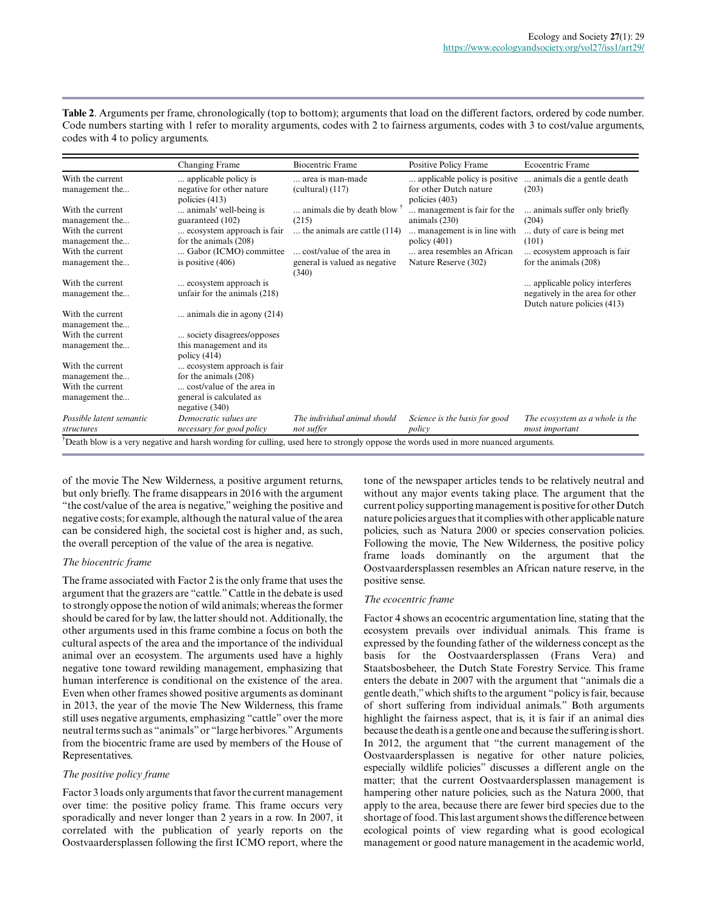**Table 2**. Arguments per frame, chronologically (top to bottom); arguments that load on the different factors, ordered by code number. Code numbers starting with 1 refer to morality arguments, codes with 2 to fairness arguments, codes with 3 to cost/value arguments, codes with 4 to policy arguments.

|                                                                                              | Changing Frame                                                                                                                      | <b>Biocentric Frame</b>                                                                         | Positive Policy Frame                                                                                                      | Ecocentric Frame                                                                                                         |
|----------------------------------------------------------------------------------------------|-------------------------------------------------------------------------------------------------------------------------------------|-------------------------------------------------------------------------------------------------|----------------------------------------------------------------------------------------------------------------------------|--------------------------------------------------------------------------------------------------------------------------|
| With the current<br>management the                                                           | applicable policy is<br>negative for other nature<br>policies $(413)$                                                               | area is man-made<br>$(cultural)$ (117)                                                          | applicable policy is positive<br>for other Dutch nature<br>policies (403)                                                  | animals die a gentle death.<br>(203)                                                                                     |
| With the current<br>management the<br>With the current<br>management the<br>With the current | animals' well-being is.<br>guaranteed (102)<br>ecosystem approach is fair<br>for the animals (208)<br>Gabor (ICMO) committee        | animals die by death blow<br>(215)<br>the animals are cattle (114)<br>cost/value of the area in | management is fair for the<br>animals $(230)$<br>management is in line with<br>policy $(401)$<br>area resembles an African | animals suffer only briefly<br>(204)<br>duty of care is being met.<br>(101)<br>ecosystem approach is fair                |
| management the<br>With the current<br>management the                                         | is positive $(406)$<br>ecosystem approach is<br>unfair for the animals (218)                                                        | general is valued as negative<br>(340)                                                          | Nature Reserve (302)                                                                                                       | for the animals (208)<br>applicable policy interferes<br>negatively in the area for other<br>Dutch nature policies (413) |
| With the current<br>management the<br>With the current                                       | animals die in agony (214)<br>society disagrees/opposes                                                                             |                                                                                                 |                                                                                                                            |                                                                                                                          |
| management the                                                                               | this management and its<br>policy $(414)$                                                                                           |                                                                                                 |                                                                                                                            |                                                                                                                          |
| With the current<br>management the<br>With the current<br>management the                     | ecosystem approach is fair<br>for the animals $(208)$<br>cost/value of the area in<br>general is calculated as<br>negative (340)    |                                                                                                 |                                                                                                                            |                                                                                                                          |
| Possible latent semantic<br>structures                                                       | Democratic values are<br>necessary for good policy                                                                                  | The individual animal should<br>not suffer                                                      | Science is the basis for good<br>policy                                                                                    | The ecosystem as a whole is the<br>most important                                                                        |
|                                                                                              | Death blow is a very negative and harsh wording for culling, used here to strongly oppose the words used in more nuanced arguments. |                                                                                                 |                                                                                                                            |                                                                                                                          |

of the movie The New Wilderness, a positive argument returns, but only briefly. The frame disappears in 2016 with the argument "the cost/value of the area is negative," weighing the positive and negative costs; for example, although the natural value of the area can be considered high, the societal cost is higher and, as such, the overall perception of the value of the area is negative.

#### *The biocentric frame*

The frame associated with Factor 2 is the only frame that uses the argument that the grazers are "cattle." Cattle in the debate is used to strongly oppose the notion of wild animals; whereas the former should be cared for by law, the latter should not. Additionally, the other arguments used in this frame combine a focus on both the cultural aspects of the area and the importance of the individual animal over an ecosystem. The arguments used have a highly negative tone toward rewilding management, emphasizing that human interference is conditional on the existence of the area. Even when other frames showed positive arguments as dominant in 2013, the year of the movie The New Wilderness, this frame still uses negative arguments, emphasizing "cattle" over the more neutral terms such as "animals" or "large herbivores." Arguments from the biocentric frame are used by members of the House of Representatives.

# *The positive policy frame*

Factor 3 loads only arguments that favor the current management over time: the positive policy frame. This frame occurs very sporadically and never longer than 2 years in a row. In 2007, it correlated with the publication of yearly reports on the Oostvaardersplassen following the first ICMO report, where the

tone of the newspaper articles tends to be relatively neutral and without any major events taking place. The argument that the current policy supporting management is positive for other Dutch nature policies argues that it complies with other applicable nature policies, such as Natura 2000 or species conservation policies. Following the movie, The New Wilderness, the positive policy frame loads dominantly on the argument that the Oostvaardersplassen resembles an African nature reserve, in the positive sense.

# *The ecocentric frame*

Factor 4 shows an ecocentric argumentation line, stating that the ecosystem prevails over individual animals. This frame is expressed by the founding father of the wilderness concept as the basis for the Oostvaardersplassen (Frans Vera) and Staatsbosbeheer, the Dutch State Forestry Service. This frame enters the debate in 2007 with the argument that "animals die a gentle death," which shifts to the argument "policy is fair, because of short suffering from individual animals." Both arguments highlight the fairness aspect, that is, it is fair if an animal dies because the death is a gentle one and because the suffering is short. In 2012, the argument that "the current management of the Oostvaardersplassen is negative for other nature policies, especially wildlife policies" discusses a different angle on the matter; that the current Oostvaardersplassen management is hampering other nature policies, such as the Natura 2000, that apply to the area, because there are fewer bird species due to the shortage of food. This last argument shows the difference between ecological points of view regarding what is good ecological management or good nature management in the academic world,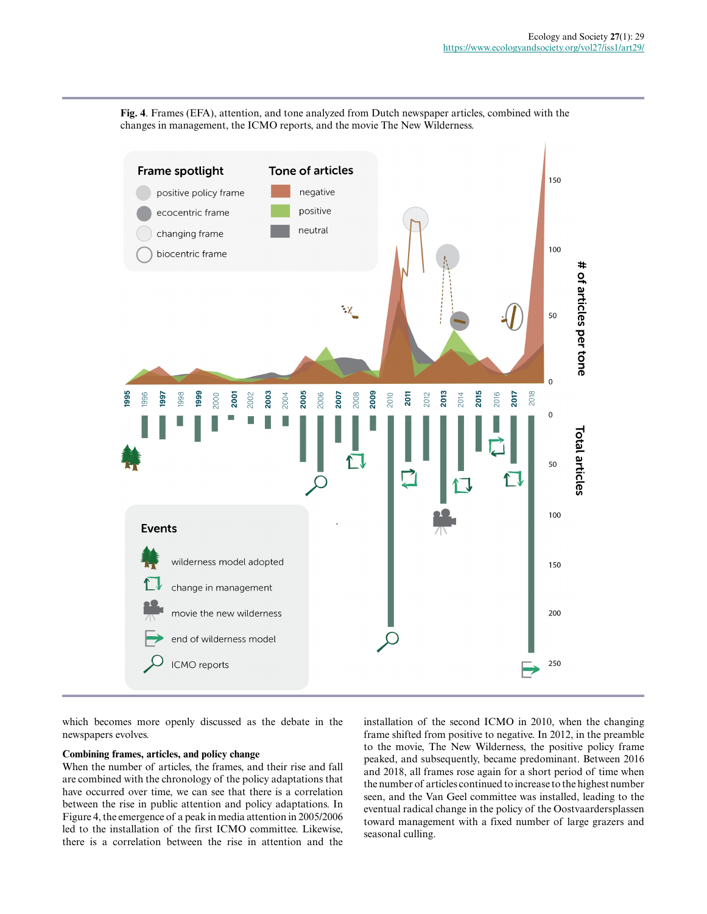**Fig. 4**. Frames (EFA), attention, and tone analyzed from Dutch newspaper articles, combined with the changes in management, the ICMO reports, and the movie The New Wilderness.



which becomes more openly discussed as the debate in the newspapers evolves.

### **Combining frames, articles, and policy change**

When the number of articles, the frames, and their rise and fall are combined with the chronology of the policy adaptations that have occurred over time, we can see that there is a correlation between the rise in public attention and policy adaptations. In Figure 4, the emergence of a peak in media attention in 2005/2006 led to the installation of the first ICMO committee. Likewise, there is a correlation between the rise in attention and the

installation of the second ICMO in 2010, when the changing frame shifted from positive to negative. In 2012, in the preamble to the movie, The New Wilderness, the positive policy frame peaked, and subsequently, became predominant. Between 2016 and 2018, all frames rose again for a short period of time when the number of articles continued to increase to the highest number seen, and the Van Geel committee was installed, leading to the eventual radical change in the policy of the Oostvaardersplassen toward management with a fixed number of large grazers and seasonal culling.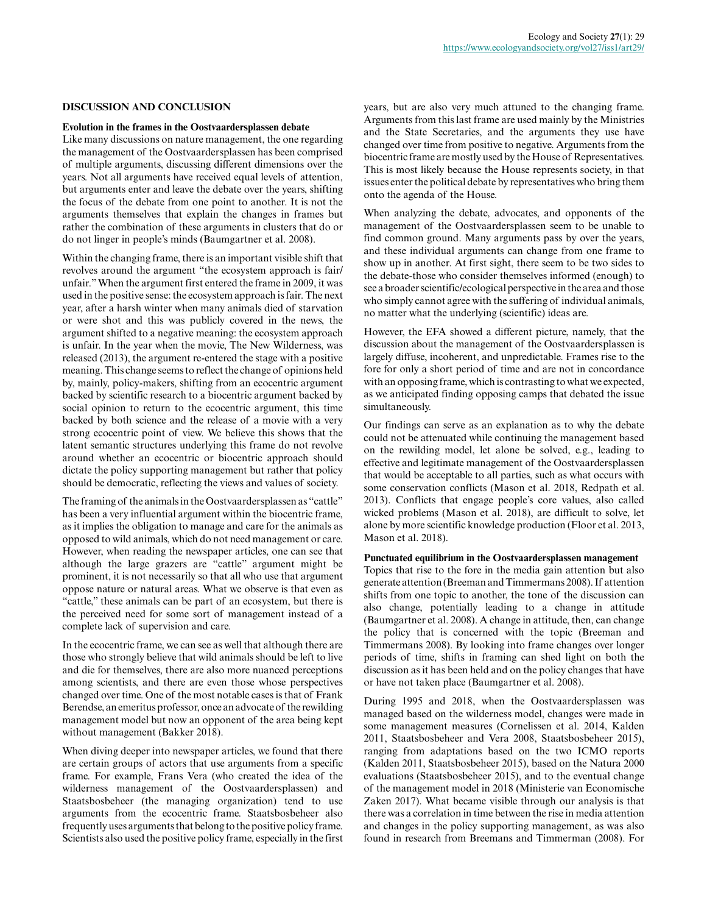#### **DISCUSSION AND CONCLUSION**

#### **Evolution in the frames in the Oostvaardersplassen debate**

Like many discussions on nature management, the one regarding the management of the Oostvaardersplassen has been comprised of multiple arguments, discussing different dimensions over the years. Not all arguments have received equal levels of attention, but arguments enter and leave the debate over the years, shifting the focus of the debate from one point to another. It is not the arguments themselves that explain the changes in frames but rather the combination of these arguments in clusters that do or do not linger in people's minds (Baumgartner et al. 2008).

Within the changing frame, there is an important visible shift that revolves around the argument "the ecosystem approach is fair/ unfair." When the argument first entered the frame in 2009, it was used in the positive sense: the ecosystem approach is fair. The next year, after a harsh winter when many animals died of starvation or were shot and this was publicly covered in the news, the argument shifted to a negative meaning: the ecosystem approach is unfair. In the year when the movie, The New Wilderness, was released (2013), the argument re-entered the stage with a positive meaning. This change seems to reflect the change of opinions held by, mainly, policy-makers, shifting from an ecocentric argument backed by scientific research to a biocentric argument backed by social opinion to return to the ecocentric argument, this time backed by both science and the release of a movie with a very strong ecocentric point of view. We believe this shows that the latent semantic structures underlying this frame do not revolve around whether an ecocentric or biocentric approach should dictate the policy supporting management but rather that policy should be democratic, reflecting the views and values of society.

The framing of the animals in the Oostvaardersplassen as "cattle" has been a very influential argument within the biocentric frame, as it implies the obligation to manage and care for the animals as opposed to wild animals, which do not need management or care. However, when reading the newspaper articles, one can see that although the large grazers are "cattle" argument might be prominent, it is not necessarily so that all who use that argument oppose nature or natural areas. What we observe is that even as "cattle," these animals can be part of an ecosystem, but there is the perceived need for some sort of management instead of a complete lack of supervision and care.

In the ecocentric frame, we can see as well that although there are those who strongly believe that wild animals should be left to live and die for themselves, there are also more nuanced perceptions among scientists, and there are even those whose perspectives changed over time. One of the most notable cases is that of Frank Berendse, an emeritus professor, once an advocate of the rewilding management model but now an opponent of the area being kept without management (Bakker 2018).

When diving deeper into newspaper articles, we found that there are certain groups of actors that use arguments from a specific frame. For example, Frans Vera (who created the idea of the wilderness management of the Oostvaardersplassen) and Staatsbosbeheer (the managing organization) tend to use arguments from the ecocentric frame. Staatsbosbeheer also frequently uses arguments that belong to the positive policy frame. Scientists also used the positive policy frame, especially in the first years, but are also very much attuned to the changing frame. Arguments from this last frame are used mainly by the Ministries and the State Secretaries, and the arguments they use have changed over time from positive to negative. Arguments from the biocentric frame are mostly used by the House of Representatives. This is most likely because the House represents society, in that issues enter the political debate by representatives who bring them onto the agenda of the House.

When analyzing the debate, advocates, and opponents of the management of the Oostvaardersplassen seem to be unable to find common ground. Many arguments pass by over the years, and these individual arguments can change from one frame to show up in another. At first sight, there seem to be two sides to the debate-those who consider themselves informed (enough) to see a broader scientific/ecological perspective in the area and those who simply cannot agree with the suffering of individual animals, no matter what the underlying (scientific) ideas are.

However, the EFA showed a different picture, namely, that the discussion about the management of the Oostvaardersplassen is largely diffuse, incoherent, and unpredictable. Frames rise to the fore for only a short period of time and are not in concordance with an opposing frame, which is contrasting to what we expected, as we anticipated finding opposing camps that debated the issue simultaneously.

Our findings can serve as an explanation as to why the debate could not be attenuated while continuing the management based on the rewilding model, let alone be solved, e.g., leading to effective and legitimate management of the Oostvaardersplassen that would be acceptable to all parties, such as what occurs with some conservation conflicts (Mason et al. 2018, Redpath et al. 2013). Conflicts that engage people's core values, also called wicked problems (Mason et al. 2018), are difficult to solve, let alone by more scientific knowledge production (Floor et al. 2013, Mason et al. 2018).

#### **Punctuated equilibrium in the Oostvaardersplassen management**

Topics that rise to the fore in the media gain attention but also generate attention (Breeman and Timmermans 2008). If attention shifts from one topic to another, the tone of the discussion can also change, potentially leading to a change in attitude (Baumgartner et al. 2008). A change in attitude, then, can change the policy that is concerned with the topic (Breeman and Timmermans 2008). By looking into frame changes over longer periods of time, shifts in framing can shed light on both the discussion as it has been held and on the policy changes that have or have not taken place (Baumgartner et al. 2008).

During 1995 and 2018, when the Oostvaardersplassen was managed based on the wilderness model, changes were made in some management measures (Cornelissen et al. 2014, Kalden 2011, Staatsbosbeheer and Vera 2008, Staatsbosbeheer 2015), ranging from adaptations based on the two ICMO reports (Kalden 2011, Staatsbosbeheer 2015), based on the Natura 2000 evaluations (Staatsbosbeheer 2015), and to the eventual change of the management model in 2018 (Ministerie van Economische Zaken 2017). What became visible through our analysis is that there was a correlation in time between the rise in media attention and changes in the policy supporting management, as was also found in research from Breemans and Timmerman (2008). For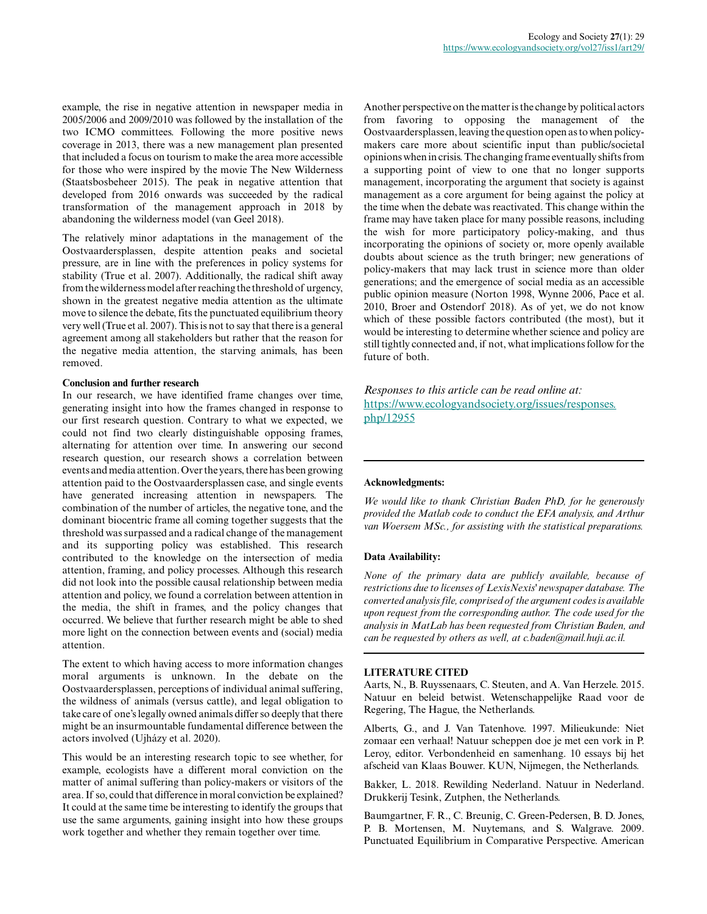example, the rise in negative attention in newspaper media in 2005/2006 and 2009/2010 was followed by the installation of the two ICMO committees. Following the more positive news coverage in 2013, there was a new management plan presented that included a focus on tourism to make the area more accessible for those who were inspired by the movie The New Wilderness (Staatsbosbeheer 2015). The peak in negative attention that developed from 2016 onwards was succeeded by the radical transformation of the management approach in 2018 by abandoning the wilderness model (van Geel 2018).

The relatively minor adaptations in the management of the Oostvaardersplassen, despite attention peaks and societal pressure, are in line with the preferences in policy systems for stability (True et al. 2007). Additionally, the radical shift away from the wilderness model after reaching the threshold of urgency, shown in the greatest negative media attention as the ultimate move to silence the debate, fits the punctuated equilibrium theory very well (True et al. 2007). This is not to say that there is a general agreement among all stakeholders but rather that the reason for the negative media attention, the starving animals, has been removed.

#### **Conclusion and further research**

In our research, we have identified frame changes over time, generating insight into how the frames changed in response to our first research question. Contrary to what we expected, we could not find two clearly distinguishable opposing frames, alternating for attention over time. In answering our second research question, our research shows a correlation between events and media attention. Over the years, there has been growing attention paid to the Oostvaardersplassen case, and single events have generated increasing attention in newspapers. The combination of the number of articles, the negative tone, and the dominant biocentric frame all coming together suggests that the threshold was surpassed and a radical change of the management and its supporting policy was established. This research contributed to the knowledge on the intersection of media attention, framing, and policy processes. Although this research did not look into the possible causal relationship between media attention and policy, we found a correlation between attention in the media, the shift in frames, and the policy changes that occurred. We believe that further research might be able to shed more light on the connection between events and (social) media attention.

The extent to which having access to more information changes moral arguments is unknown. In the debate on the Oostvaardersplassen, perceptions of individual animal suffering, the wildness of animals (versus cattle), and legal obligation to take care of one's legally owned animals differ so deeply that there might be an insurmountable fundamental difference between the actors involved (Ujházy et al. 2020).

This would be an interesting research topic to see whether, for example, ecologists have a different moral conviction on the matter of animal suffering than policy-makers or visitors of the area. If so, could that difference in moral conviction be explained? It could at the same time be interesting to identify the groups that use the same arguments, gaining insight into how these groups work together and whether they remain together over time.

Another perspective on the matter is the change by political actors from favoring to opposing the management of the Oostvaardersplassen, leaving the question open as to when policymakers care more about scientific input than public/societal opinions when in crisis. The changing frame eventually shifts from a supporting point of view to one that no longer supports management, incorporating the argument that society is against management as a core argument for being against the policy at the time when the debate was reactivated. This change within the frame may have taken place for many possible reasons, including the wish for more participatory policy-making, and thus incorporating the opinions of society or, more openly available doubts about science as the truth bringer; new generations of policy-makers that may lack trust in science more than older generations; and the emergence of social media as an accessible public opinion measure (Norton 1998, Wynne 2006, Pace et al. 2010, Broer and Ostendorf 2018). As of yet, we do not know which of these possible factors contributed (the most), but it would be interesting to determine whether science and policy are still tightly connected and, if not, what implications follow for the future of both.

*Responses to this article can be read online at:* [https://www.ecologyandsociety.org/issues/responses.](https://www.ecologyandsociety.org/issues/responses.php/12955) [php/12955](https://www.ecologyandsociety.org/issues/responses.php/12955)

#### **Acknowledgments:**

*We would like to thank Christian Baden PhD, for he generously provided the Matlab code to conduct the EFA analysis, and Arthur van Woersem MSc., for assisting with the statistical preparations.*

#### **Data Availability:**

*None of the primary data are publicly available, because of restrictions due to licenses of LexisNexis' newspaper database. The converted analysis file, comprised of the argument codes is available upon request from the corresponding author. The code used for the analysis in MatLab has been requested from Christian Baden, and can be requested by others as well, at c.baden@mail.huji.ac.il.*

#### **LITERATURE CITED**

Aarts, N., B. Ruyssenaars, C. Steuten, and A. Van Herzele. 2015. Natuur en beleid betwist. Wetenschappelijke Raad voor de Regering, The Hague, the Netherlands.

Alberts, G., and J. Van Tatenhove. 1997. Milieukunde: Niet zomaar een verhaal! Natuur scheppen doe je met een vork in P. Leroy, editor. Verbondenheid en samenhang. 10 essays bij het afscheid van Klaas Bouwer. KUN, Nijmegen, the Netherlands.

Bakker, L. 2018. Rewilding Nederland. Natuur in Nederland. Drukkerij Tesink, Zutphen, the Netherlands.

Baumgartner, F. R., C. Breunig, C. Green-Pedersen, B. D. Jones, P. B. Mortensen, M. Nuytemans, and S. Walgrave. 2009. Punctuated Equilibrium in Comparative Perspective. American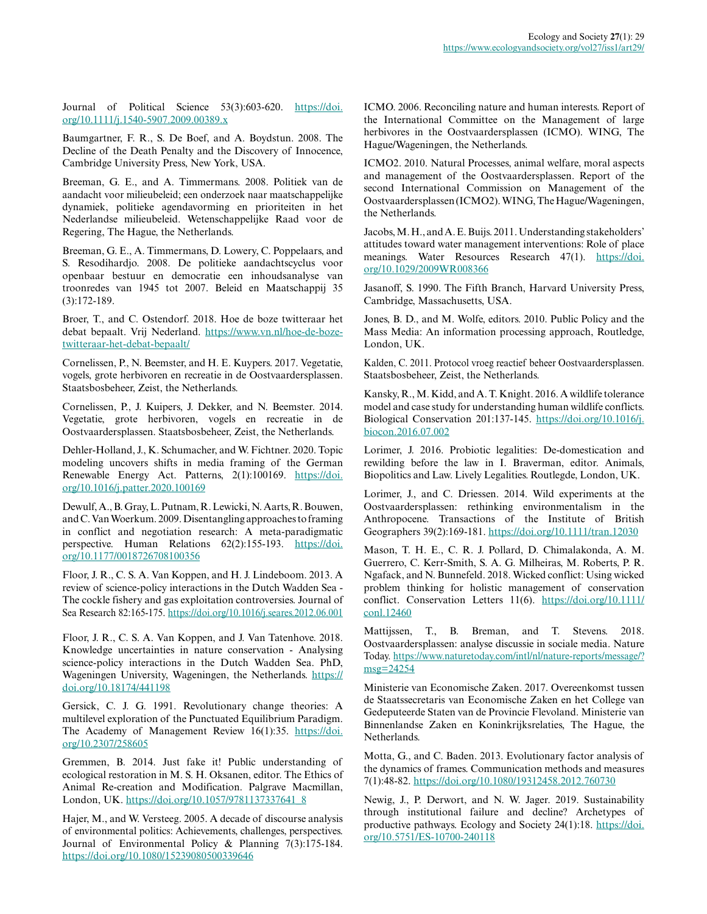Journal of Political Science 53(3):603-620. [https://doi.](https://doi.org/10.1111/j.1540-5907.2009.00389.x) [org/10.1111/j.1540-5907.2009.00389.x](https://doi.org/10.1111/j.1540-5907.2009.00389.x)

Baumgartner, F. R., S. De Boef, and A. Boydstun. 2008. The Decline of the Death Penalty and the Discovery of Innocence, Cambridge University Press, New York, USA.

Breeman, G. E., and A. Timmermans. 2008. Politiek van de aandacht voor milieubeleid; een onderzoek naar maatschappelijke dynamiek, politieke agendavorming en prioriteiten in het Nederlandse milieubeleid. Wetenschappelijke Raad voor de Regering, The Hague, the Netherlands.

Breeman, G. E., A. Timmermans, D. Lowery, C. Poppelaars, and S. Resodihardjo. 2008. De politieke aandachtscyclus voor openbaar bestuur en democratie een inhoudsanalyse van troonredes van 1945 tot 2007. Beleid en Maatschappij 35 (3):172-189.

Broer, T., and C. Ostendorf. 2018. Hoe de boze twitteraar het debat bepaalt. Vrij Nederland. [https://www.vn.nl/hoe-de-boze](https://www.vn.nl/hoe-de-boze-twitteraar-het-debat-bepaalt/)[twitteraar-het-debat-bepaalt/](https://www.vn.nl/hoe-de-boze-twitteraar-het-debat-bepaalt/)

Cornelissen, P., N. Beemster, and H. E. Kuypers. 2017. Vegetatie, vogels, grote herbivoren en recreatie in de Oostvaardersplassen. Staatsbosbeheer, Zeist, the Netherlands.

Cornelissen, P., J. Kuipers, J. Dekker, and N. Beemster. 2014. Vegetatie, grote herbivoren, vogels en recreatie in de Oostvaardersplassen. Staatsbosbeheer, Zeist, the Netherlands.

Dehler-Holland, J., K. Schumacher, and W. Fichtner. 2020. Topic modeling uncovers shifts in media framing of the German Renewable Energy Act. Patterns, 2(1):100169. [https://doi.](https://doi.org/10.1016/j.patter.2020.100169) [org/10.1016/j.patter.2020.100169](https://doi.org/10.1016/j.patter.2020.100169) 

Dewulf, A., B. Gray, L. Putnam, R. Lewicki, N. Aarts, R. Bouwen, and C. Van Woerkum. 2009. Disentangling approaches to framing in conflict and negotiation research: A meta-paradigmatic perspective. Human Relations 62(2):155-193. [https://doi.](https://doi.org/10.1177/0018726708100356) [org/10.1177/0018726708100356](https://doi.org/10.1177/0018726708100356)

Floor, J. R., C. S. A. Van Koppen, and H. J. Lindeboom. 2013. A review of science-policy interactions in the Dutch Wadden Sea - The cockle fishery and gas exploitation controversies. Journal of Sea Research 82:165-175.<https://doi.org/10.1016/j.seares.2012.06.001>

Floor, J. R., C. S. A. Van Koppen, and J. Van Tatenhove. 2018. Knowledge uncertainties in nature conservation - Analysing science-policy interactions in the Dutch Wadden Sea. PhD, Wageningen University, Wageningen, the Netherlands. [https://](https://doi.org/10.18174/441198) [doi.org/10.18174/441198](https://doi.org/10.18174/441198) 

Gersick, C. J. G. 1991. Revolutionary change theories: A multilevel exploration of the Punctuated Equilibrium Paradigm. The Academy of Management Review 16(1):35. [https://doi.](https://doi.org/10.2307/258605) [org/10.2307/258605](https://doi.org/10.2307/258605)

Gremmen, B. 2014. Just fake it! Public understanding of ecological restoration in M. S. H. Oksanen, editor. The Ethics of Animal Re-creation and Modification. Palgrave Macmillan, London, UK. [https://doi.org/10.1057/9781137337641\\_8](https://doi.org/10.1057/9781137337641_8)

Hajer, M., and W. Versteeg. 2005. A decade of discourse analysis of environmental politics: Achievements, challenges, perspectives. Journal of Environmental Policy & Planning 7(3):175-184. <https://doi.org/10.1080/15239080500339646>

ICMO. 2006. Reconciling nature and human interests. Report of the International Committee on the Management of large herbivores in the Oostvaardersplassen (ICMO). WING, The Hague/Wageningen, the Netherlands.

ICMO2. 2010. Natural Processes, animal welfare, moral aspects and management of the Oostvaardersplassen. Report of the second International Commission on Management of the Oostvaardersplassen (ICMO2). WING, The Hague/Wageningen, the Netherlands.

Jacobs, M. H., and A. E. Buijs. 2011. Understanding stakeholders' attitudes toward water management interventions: Role of place meanings. Water Resources Research 47(1). [https://doi.](https://doi.org/10.1029/2009WR008366) [org/10.1029/2009WR008366](https://doi.org/10.1029/2009WR008366)

Jasanoff, S. 1990. The Fifth Branch, Harvard University Press, Cambridge, Massachusetts, USA.

Jones, B. D., and M. Wolfe, editors. 2010. Public Policy and the Mass Media: An information processing approach, Routledge, London, UK.

Kalden, C. 2011. Protocol vroeg reactief beheer Oostvaardersplassen. Staatsbosbeheer, Zeist, the Netherlands.

Kansky, R., M. Kidd, and A. T. Knight. 2016. A wildlife tolerance model and case study for understanding human wildlife conflicts. Biological Conservation 201:137-145. [https://doi.org/10.1016/j.](https://doi.org/10.1016/j.biocon.2016.07.002) [biocon.2016.07.002](https://doi.org/10.1016/j.biocon.2016.07.002)

Lorimer, J. 2016. Probiotic legalities: De-domestication and rewilding before the law in I. Braverman, editor. Animals, Biopolitics and Law. Lively Legalities. Routlegde, London, UK.

Lorimer, J., and C. Driessen. 2014. Wild experiments at the Oostvaardersplassen: rethinking environmentalism in the Anthropocene. Transactions of the Institute of British Geographers 39(2):169-181.<https://doi.org/10.1111/tran.12030>

Mason, T. H. E., C. R. J. Pollard, D. Chimalakonda, A. M. Guerrero, C. Kerr-Smith, S. A. G. Milheiras, M. Roberts, P. R. Ngafack, and N. Bunnefeld. 2018. Wicked conflict: Using wicked problem thinking for holistic management of conservation conflict. Conservation Letters 11(6). [https://doi.org/10.1111/](https://doi.org/10.1111/conl.12460) [conl.12460](https://doi.org/10.1111/conl.12460)

Mattijssen, T., B. Breman, and T. Stevens. 2018. Oostvaardersplassen: analyse discussie in sociale media. Nature Today. [https://www.naturetoday.com/intl/nl/nature-reports/message/?](https://www.naturetoday.com/intl/nl/nature-reports/message/?msg=24254) [msg=24254](https://www.naturetoday.com/intl/nl/nature-reports/message/?msg=24254) 

Ministerie van Economische Zaken. 2017. Overeenkomst tussen de Staatssecretaris van Economische Zaken en het College van Gedeputeerde Staten van de Provincie Flevoland. Ministerie van Binnenlandse Zaken en Koninkrijksrelaties, The Hague, the Netherlands.

Motta, G., and C. Baden. 2013. Evolutionary factor analysis of the dynamics of frames. Communication methods and measures 7(1):48-82.<https://doi.org/10.1080/19312458.2012.760730>

Newig, J., P. Derwort, and N. W. Jager. 2019. Sustainability through institutional failure and decline? Archetypes of productive pathways. Ecology and Society 24(1):18. [https://doi.](https://doi.org/10.5751/ES-10700-240118) [org/10.5751/ES-10700-240118](https://doi.org/10.5751/ES-10700-240118)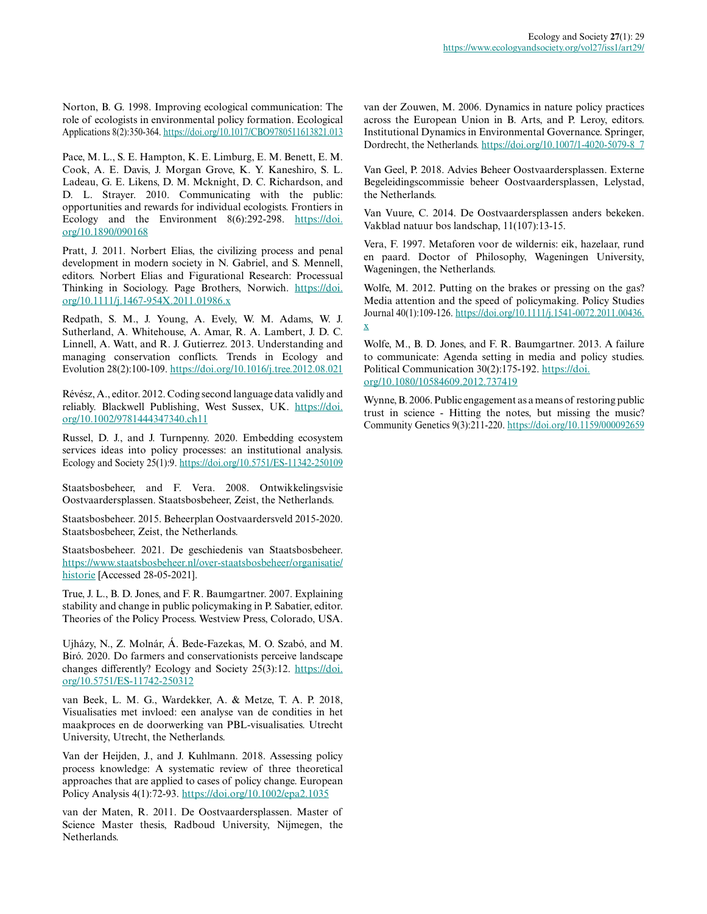Norton, B. G. 1998. Improving ecological communication: The role of ecologists in environmental policy formation. Ecological Applications 8(2):350-364. <https://doi.org/10.1017/CBO9780511613821.013>

Pace, M. L., S. E. Hampton, K. E. Limburg, E. M. Benett, E. M. Cook, A. E. Davis, J. Morgan Grove, K. Y. Kaneshiro, S. L. Ladeau, G. E. Likens, D. M. Mcknight, D. C. Richardson, and D. L. Strayer. 2010. Communicating with the public: opportunities and rewards for individual ecologists. Frontiers in Ecology and the Environment 8(6):292-298. [https://doi.](https://doi.org/10.1890/090168) [org/10.1890/090168](https://doi.org/10.1890/090168)

Pratt, J. 2011. Norbert Elias, the civilizing process and penal development in modern society in N. Gabriel, and S. Mennell, editors. Norbert Elias and Figurational Research: Processual Thinking in Sociology. Page Brothers, Norwich. [https://doi.](https://doi.org/10.1111/j.1467-954X.2011.01986.x) [org/10.1111/j.1467-954X.2011.01986.x](https://doi.org/10.1111/j.1467-954X.2011.01986.x) 

Redpath, S. M., J. Young, A. Evely, W. M. Adams, W. J. Sutherland, A. Whitehouse, A. Amar, R. A. Lambert, J. D. C. Linnell, A. Watt, and R. J. Gutierrez. 2013. Understanding and managing conservation conflicts. Trends in Ecology and Evolution 28(2):100-109.<https://doi.org/10.1016/j.tree.2012.08.021>

Révész, A., editor. 2012. Coding second language data validly and reliably. Blackwell Publishing, West Sussex, UK. [https://doi.](https://doi.org/10.1002/9781444347340.ch11) [org/10.1002/9781444347340.ch11](https://doi.org/10.1002/9781444347340.ch11)

Russel, D. J., and J. Turnpenny. 2020. Embedding ecosystem services ideas into policy processes: an institutional analysis. Ecology and Society 25(1):9.<https://doi.org/10.5751/ES-11342-250109>

Staatsbosbeheer, and F. Vera. 2008. Ontwikkelingsvisie Oostvaardersplassen. Staatsbosbeheer, Zeist, the Netherlands.

Staatsbosbeheer. 2015. Beheerplan Oostvaardersveld 2015-2020. Staatsbosbeheer, Zeist, the Netherlands.

Staatsbosbeheer. 2021. De geschiedenis van Staatsbosbeheer. [https://www.staatsbosbeheer.nl/over-staatsbosbeheer/organisatie/](https://www.staatsbosbeheer.nl/over-staatsbosbeheer/organisatie/historie) [historie](https://www.staatsbosbeheer.nl/over-staatsbosbeheer/organisatie/historie) [Accessed 28-05-2021].

True, J. L., B. D. Jones, and F. R. Baumgartner. 2007. Explaining stability and change in public policymaking in P. Sabatier, editor. Theories of the Policy Process. Westview Press, Colorado, USA.

Ujházy, N., Z. Molnár, Á. Bede-Fazekas, M. O. Szabó, and M. Biró. 2020. Do farmers and conservationists perceive landscape changes differently? Ecology and Society 25(3):12. [https://doi.](https://doi.org/10.5751/ES-11742-250312) [org/10.5751/ES-11742-250312](https://doi.org/10.5751/ES-11742-250312) 

van Beek, L. M. G., Wardekker, A. & Metze, T. A. P. 2018, Visualisaties met invloed: een analyse van de condities in het maakproces en de doorwerking van PBL-visualisaties. Utrecht University, Utrecht, the Netherlands.

Van der Heijden, J., and J. Kuhlmann. 2018. Assessing policy process knowledge: A systematic review of three theoretical approaches that are applied to cases of policy change. European Policy Analysis 4(1):72-93.<https://doi.org/10.1002/epa2.1035>

van der Maten, R. 2011. De Oostvaardersplassen. Master of Science Master thesis, Radboud University, Nijmegen, the Netherlands.

van der Zouwen, M. 2006. Dynamics in nature policy practices across the European Union in B. Arts, and P. Leroy, editors. Institutional Dynamics in Environmental Governance. Springer, Dordrecht, the Netherlands. [https://doi.org/10.1007/1-4020-5079-8\\_7](https://doi.org/10.1007/1-4020-5079-8_7)

Van Geel, P. 2018. Advies Beheer Oostvaardersplassen. Externe Begeleidingscommissie beheer Oostvaardersplassen, Lelystad, the Netherlands.

Van Vuure, C. 2014. De Oostvaardersplassen anders bekeken. Vakblad natuur bos landschap, 11(107):13-15.

Vera, F. 1997. Metaforen voor de wildernis: eik, hazelaar, rund en paard. Doctor of Philosophy, Wageningen University, Wageningen, the Netherlands.

Wolfe, M. 2012. Putting on the brakes or pressing on the gas? Media attention and the speed of policymaking. Policy Studies Journal 40(1):109-126. [https://doi.org/10.1111/j.1541-0072.2011.00436.](https://doi.org/10.1111/j.1541-0072.2011.00436.x) [x](https://doi.org/10.1111/j.1541-0072.2011.00436.x) 

Wolfe, M., B. D. Jones, and F. R. Baumgartner. 2013. A failure to communicate: Agenda setting in media and policy studies. Political Communication 30(2):175-192. [https://doi.](https://doi.org/10.1080/10584609.2012.737419) [org/10.1080/10584609.2012.737419](https://doi.org/10.1080/10584609.2012.737419)

Wynne, B. 2006. Public engagement as a means of restoring public trust in science - Hitting the notes, but missing the music? Community Genetics 9(3):211-220.<https://doi.org/10.1159/000092659>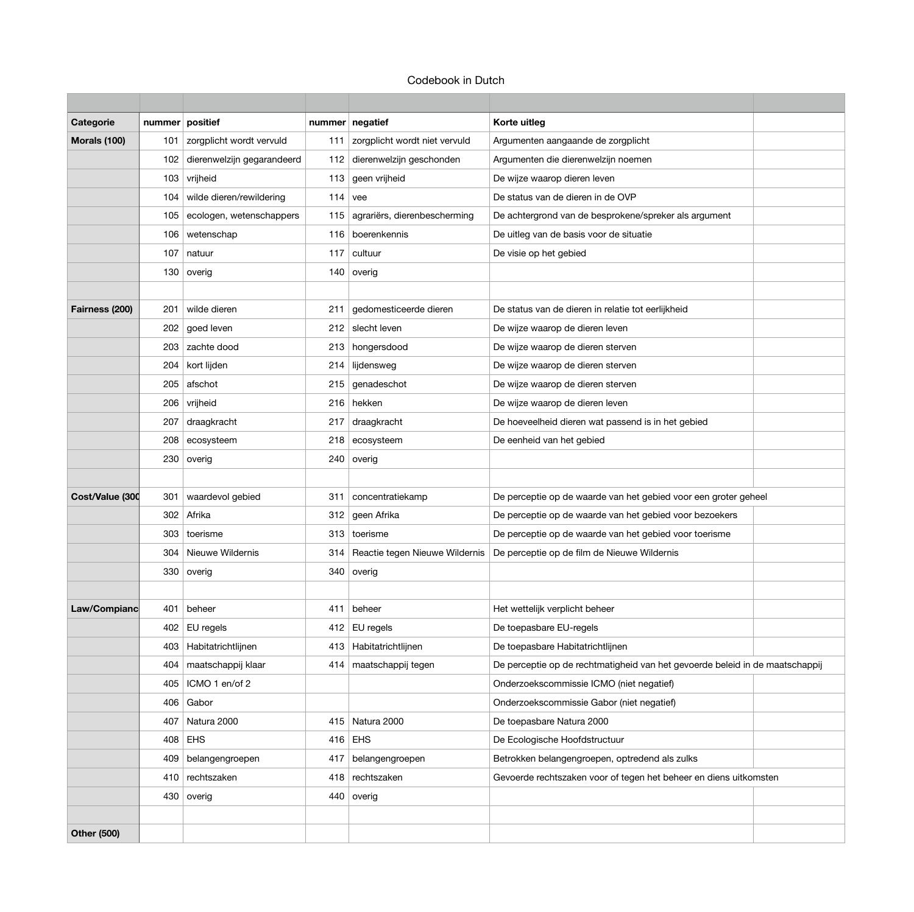# Codebook in Dutch

| Categorie           | nummer positief |                              |     | nummer negatief                      | Korte uitleg                                                                 |
|---------------------|-----------------|------------------------------|-----|--------------------------------------|------------------------------------------------------------------------------|
| <b>Morals (100)</b> | 101             | zorgplicht wordt vervuld     | 111 | zorgplicht wordt niet vervuld        | Argumenten aangaande de zorgplicht                                           |
|                     | 102             | dierenwelzijn gegarandeerd   |     | 112 dierenwelzijn geschonden         | Argumenten die dierenwelzijn noemen                                          |
|                     |                 | 103 vrijheid                 |     | 113 geen vrijheid                    | De wijze waarop dieren leven                                                 |
|                     |                 | 104 wilde dieren/rewildering |     | $114$ vee                            | De status van de dieren in de OVP                                            |
|                     | 105             | ecologen, wetenschappers     | 115 | agrariërs, dierenbescherming         | De achtergrond van de besprokene/spreker als argument                        |
|                     |                 | 106 wetenschap               |     | 116 boerenkennis                     | De uitleg van de basis voor de situatie                                      |
|                     | 107             | natuur                       | 117 | cultuur                              | De visie op het gebied                                                       |
|                     |                 | 130 overig                   |     | 140 overig                           |                                                                              |
|                     |                 |                              |     |                                      |                                                                              |
| Fairness (200)      | 201             | wilde dieren                 | 211 | gedomesticeerde dieren               | De status van de dieren in relatie tot eerlijkheid                           |
|                     |                 | 202 goed leven               |     | 212 slecht leven                     | De wijze waarop de dieren leven                                              |
|                     |                 | 203 zachte dood              |     | 213 hongersdood                      | De wijze waarop de dieren sterven                                            |
|                     | 204             | kort lijden                  | 214 | lijdensweg                           | De wijze waarop de dieren sterven                                            |
|                     | 205             | afschot                      |     | 215 genadeschot                      | De wijze waarop de dieren sterven                                            |
|                     |                 | 206 vrijheid                 |     | 216 hekken                           | De wijze waarop de dieren leven                                              |
|                     | 207             | draagkracht                  | 217 | draagkracht                          | De hoeveelheid dieren wat passend is in het gebied                           |
|                     |                 | 208 ecosysteem               |     | 218 ecosysteem                       | De eenheid van het gebied                                                    |
|                     |                 | 230 overig                   |     | 240 overig                           |                                                                              |
|                     |                 |                              |     |                                      |                                                                              |
| Cost/Value (300     | 301             | waardevol gebied             | 311 | concentratiekamp                     | De perceptie op de waarde van het gebied voor een groter geheel              |
|                     |                 | 302 Afrika                   |     | 312 geen Afrika                      | De perceptie op de waarde van het gebied voor bezoekers                      |
|                     |                 | 303 toerisme                 |     | 313 toerisme                         | De perceptie op de waarde van het gebied voor toerisme                       |
|                     |                 | 304 Nieuwe Wildernis         |     | 314   Reactie tegen Nieuwe Wildernis | De perceptie op de film de Nieuwe Wildernis                                  |
|                     |                 | 330 overig                   |     | 340 overig                           |                                                                              |
|                     |                 |                              |     |                                      |                                                                              |
| Law/Compianc        | 401             | beheer                       | 411 | beheer                               | Het wettelijk verplicht beheer                                               |
|                     |                 | 402   EU regels              |     | 412 EU regels                        | De toepasbare EU-regels                                                      |
|                     | 403             | Habitatrichtlijnen           |     | 413   Habitatrichtlijnen             | De toepasbare Habitatrichtlijnen                                             |
|                     | 404             | maatschappij klaar           |     | 414   maatschappij tegen             | De perceptie op de rechtmatigheid van het gevoerde beleid in de maatschappij |
|                     | 405             | ICMO 1 en/of 2               |     |                                      | Onderzoekscommissie ICMO (niet negatief)                                     |
|                     |                 | 406 Gabor                    |     |                                      | Onderzoekscommissie Gabor (niet negatief)                                    |
|                     | 407             | Natura 2000                  |     | 415 Natura 2000                      | De toepasbare Natura 2000                                                    |
|                     |                 | 408 EHS                      |     | $416$ EHS                            | De Ecologische Hoofdstructuur                                                |
|                     | 409             | belangengroepen              | 417 | belangengroepen                      | Betrokken belangengroepen, optredend als zulks                               |
|                     |                 | 410 rechtszaken              |     | 418 rechtszaken                      | Gevoerde rechtszaken voor of tegen het beheer en diens uitkomsten            |
|                     |                 | 430 overig                   |     | 440 overig                           |                                                                              |
|                     |                 |                              |     |                                      |                                                                              |
| <b>Other (500)</b>  |                 |                              |     |                                      |                                                                              |